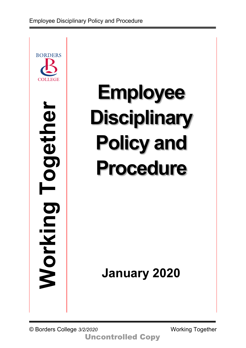

# **Employee Disciplinary Policy and Procedure**

**January 2020**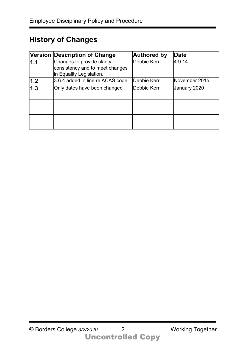## **History of Changes**

|                   | Version Description of Change    | <b>Authored by</b> | <b>Date</b>   |
|-------------------|----------------------------------|--------------------|---------------|
| 1.1               | Changes to provide clarity,      | Debbie Kerr        | 4.9.14        |
|                   | consistency and to meet changes  |                    |               |
|                   | in Equality Legislation.         |                    |               |
| 1.2               | 3.6.4 added in line re ACAS code | Debbie Kerr        | November 2015 |
| $\vert 1.3 \vert$ | Only dates have been changed     | Debbie Kerr        | January 2020  |
|                   |                                  |                    |               |
|                   |                                  |                    |               |
|                   |                                  |                    |               |
|                   |                                  |                    |               |
|                   |                                  |                    |               |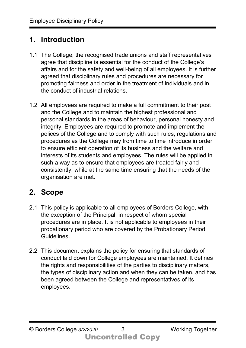## **1. Introduction**

- 1.1 The College, the recognised trade unions and staff representatives agree that discipline is essential for the conduct of the College's affairs and for the safety and well-being of all employees. It is further agreed that disciplinary rules and procedures are necessary for promoting fairness and order in the treatment of individuals and in the conduct of industrial relations.
- 1.2 All employees are required to make a full commitment to their post and the College and to maintain the highest professional and personal standards in the areas of behaviour, personal honesty and integrity. Employees are required to promote and implement the polices of the College and to comply with such rules, regulations and procedures as the College may from time to time introduce in order to ensure efficient operation of its business and the welfare and interests of its students and employees. The rules will be applied in such a way as to ensure that employees are treated fairly and consistently, while at the same time ensuring that the needs of the organisation are met.

# **2. Scope**

- 2.1 This policy is applicable to all employees of Borders College, with the exception of the Principal, in respect of whom special procedures are in place. It is not applicable to employees in their probationary period who are covered by the Probationary Period Guidelines.
- 2.2 This document explains the policy for ensuring that standards of conduct laid down for College employees are maintained. It defines the rights and responsibilities of the parties to disciplinary matters, the types of disciplinary action and when they can be taken, and has been agreed between the College and representatives of its employees.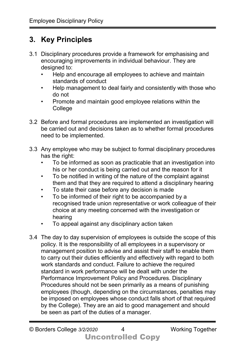# **3. Key Principles**

- 3.1 Disciplinary procedures provide a framework for emphasising and encouraging improvements in individual behaviour. They are designed to:
	- Help and encourage all employees to achieve and maintain standards of conduct
	- Help management to deal fairly and consistently with those who do not
	- Promote and maintain good employee relations within the **College**
- 3.2 Before and formal procedures are implemented an investigation will be carried out and decisions taken as to whether formal procedures need to be implemented.
- 3.3 Any employee who may be subject to formal disciplinary procedures has the right:
	- To be informed as soon as practicable that an investigation into his or her conduct is being carried out and the reason for it
	- To be notified in writing of the nature of the complaint against them and that they are required to attend a disciplinary hearing
	- To state their case before any decision is made
	- To be informed of their right to be accompanied by a recognised trade union representative or work colleague of their choice at any meeting concerned with the investigation or hearing
	- To appeal against any disciplinary action taken
- 3.4 The day to day supervision of employees is outside the scope of this policy. It is the responsibility of all employees in a supervisory or management position to advise and assist their staff to enable them to carry out their duties efficiently and effectively with regard to both work standards and conduct. Failure to achieve the required standard in work performance will be dealt with under the Performance Improvement Policy and Procedures. Disciplinary Procedures should not be seen primarily as a means of punishing employees (though, depending on the circumstances, penalties may be imposed on employees whose conduct falls short of that required by the College). They are an aid to good management and should be seen as part of the duties of a manager.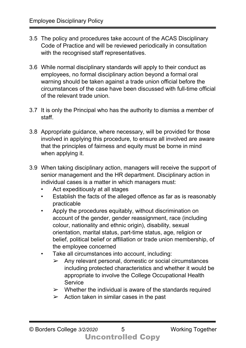- 3.5 The policy and procedures take account of the ACAS Disciplinary Code of Practice and will be reviewed periodically in consultation with the recognised staff representatives.
- 3.6 While normal disciplinary standards will apply to their conduct as employees, no formal disciplinary action beyond a formal oral warning should be taken against a trade union official before the circumstances of the case have been discussed with full-time official of the relevant trade union.
- 3.7 It is only the Principal who has the authority to dismiss a member of staff.
- 3.8 Appropriate guidance, where necessary, will be provided for those involved in applying this procedure, to ensure all involved are aware that the principles of fairness and equity must be borne in mind when applying it.
- 3.9 When taking disciplinary action, managers will receive the support of senior management and the HR department. Disciplinary action in individual cases is a matter in which managers must:
	- Act expeditiously at all stages
	- Establish the facts of the alleged offence as far as is reasonably practicable
	- Apply the procedures equitably, without discrimination on account of the gender, gender reassignment, race (including colour, nationality and ethnic origin), disability, sexual orientation, marital status, part-time status, age, religion or belief, political belief or affiliation or trade union membership, of the employee concerned
	- Take all circumstances into account, including:
		- $\triangleright$  Any relevant personal, domestic or social circumstances including protected characteristics and whether it would be appropriate to involve the College Occupational Health **Service**
		- $\triangleright$  Whether the individual is aware of the standards required
		- $\triangleright$  Action taken in similar cases in the past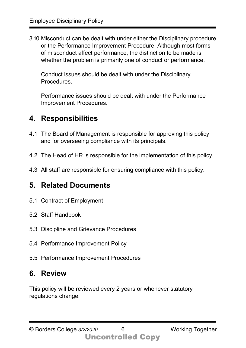3.10 Misconduct can be dealt with under either the Disciplinary procedure or the Performance Improvement Procedure. Although most forms of misconduct affect performance, the distinction to be made is whether the problem is primarily one of conduct or performance.

Conduct issues should be dealt with under the Disciplinary Procedures.

Performance issues should be dealt with under the Performance Improvement Procedures.

## **4. Responsibilities**

- 4.1 The Board of Management is responsible for approving this policy and for overseeing compliance with its principals.
- 4.2 The Head of HR is responsible for the implementation of this policy.
- 4.3 All staff are responsible for ensuring compliance with this policy.

# **5. Related Documents**

- 5.1 Contract of Employment
- 5.2 Staff Handbook
- 5.3 Discipline and Grievance Procedures
- 5.4 Performance Improvement Policy
- 5.5 Performance Improvement Procedures

## **6. Review**

This policy will be reviewed every 2 years or whenever statutory regulations change.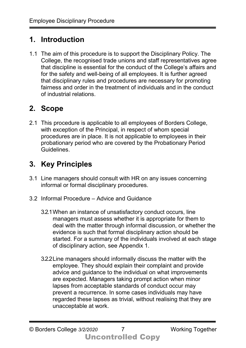## **1. Introduction**

1.1 The aim of this procedure is to support the Disciplinary Policy. The College, the recognised trade unions and staff representatives agree that discipline is essential for the conduct of the College's affairs and for the safety and well-being of all employees. It is further agreed that disciplinary rules and procedures are necessary for promoting fairness and order in the treatment of individuals and in the conduct of industrial relations.

# **2. Scope**

2.1 This procedure is applicable to all employees of Borders College, with exception of the Principal, in respect of whom special procedures are in place. It is not applicable to employees in their probationary period who are covered by the Probationary Period Guidelines.

# **3. Key Principles**

- 3.1 Line managers should consult with HR on any issues concerning informal or formal disciplinary procedures.
- 3.2 Informal Procedure Advice and Guidance
	- 3.2.1When an instance of unsatisfactory conduct occurs, line managers must assess whether it is appropriate for them to deal with the matter through informal discussion, or whether the evidence is such that formal disciplinary action should be started. For a summary of the individuals involved at each stage of disciplinary action, see Appendix 1.
	- 3.2.2Line managers should informally discuss the matter with the employee. They should explain their complaint and provide advice and guidance to the individual on what improvements are expected. Managers taking prompt action when minor lapses from acceptable standards of conduct occur may prevent a recurrence. In some cases individuals may have regarded these lapses as trivial, without realising that they are unacceptable at work.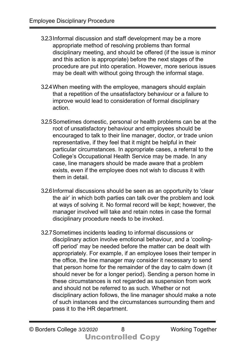- 3.2.3Informal discussion and staff development may be a more appropriate method of resolving problems than formal disciplinary meeting, and should be offered (if the issue is minor and this action is appropriate) before the next stages of the procedure are put into operation. However, more serious issues may be dealt with without going through the informal stage.
- 3.2.4When meeting with the employee, managers should explain that a repetition of the unsatisfactory behaviour or a failure to improve would lead to consideration of formal disciplinary action.
- 3.2.5Sometimes domestic, personal or health problems can be at the root of unsatisfactory behaviour and employees should be encouraged to talk to their line manager, doctor, or trade union representative, if they feel that it might be helpful in their particular circumstances. In appropriate cases, a referral to the College's Occupational Health Service may be made. In any case, line managers should be made aware that a problem exists, even if the employee does not wish to discuss it with them in detail.
- 3.2.6Informal discussions should be seen as an opportunity to 'clear the air' in which both parties can talk over the problem and look at ways of solving it. No formal record will be kept; however, the manager involved will take and retain notes in case the formal disciplinary procedure needs to be invoked.
- 3.2.7Sometimes incidents leading to informal discussions or disciplinary action involve emotional behaviour, and a 'coolingoff period' may be needed before the matter can be dealt with appropriately. For example, if an employee loses their temper in the office, the line manager may consider it necessary to send that person home for the remainder of the day to calm down (it should never be for a longer period). Sending a person home in these circumstances is not regarded as suspension from work and should not be referred to as such. Whether or not disciplinary action follows, the line manager should make a note of such instances and the circumstances surrounding them and pass it to the HR department.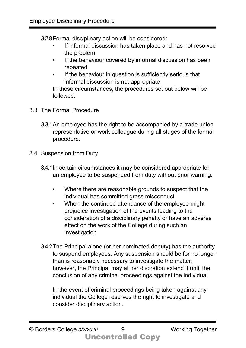3.2.8Formal disciplinary action will be considered:

- If informal discussion has taken place and has not resolved the problem
- If the behaviour covered by informal discussion has been repeated
- If the behaviour in question is sufficiently serious that informal discussion is not appropriate

In these circumstances, the procedures set out below will be followed.

- 3.3 The Formal Procedure
	- 3.3.1An employee has the right to be accompanied by a trade union representative or work colleague during all stages of the formal procedure.
- 3.4 Suspension from Duty
	- 3.4.1In certain circumstances it may be considered appropriate for an employee to be suspended from duty without prior warning:
		- Where there are reasonable grounds to suspect that the individual has committed gross misconduct
		- When the continued attendance of the employee might prejudice investigation of the events leading to the consideration of a disciplinary penalty or have an adverse effect on the work of the College during such an investigation
	- 3.4.2The Principal alone (or her nominated deputy) has the authority to suspend employees. Any suspension should be for no longer than is reasonably necessary to investigate the matter; however, the Principal may at her discretion extend it until the conclusion of any criminal proceedings against the individual.

In the event of criminal proceedings being taken against any individual the College reserves the right to investigate and consider disciplinary action.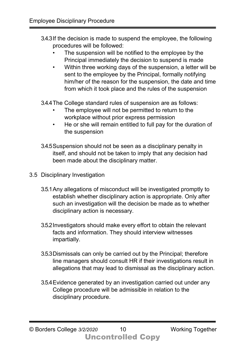3.4.3If the decision is made to suspend the employee, the following procedures will be followed:

- The suspension will be notified to the employee by the Principal immediately the decision to suspend is made
- Within three working days of the suspension, a letter will be sent to the employee by the Principal, formally notifying him/her of the reason for the suspension, the date and time from which it took place and the rules of the suspension

3.4.4The College standard rules of suspension are as follows:

- The employee will not be permitted to return to the workplace without prior express permission
- He or she will remain entitled to full pay for the duration of the suspension
- 3.4.5Suspension should not be seen as a disciplinary penalty in itself, and should not be taken to imply that any decision had been made about the disciplinary matter.
- 3.5 Disciplinary Investigation
	- 3.5.1Any allegations of misconduct will be investigated promptly to establish whether disciplinary action is appropriate. Only after such an investigation will the decision be made as to whether disciplinary action is necessary.
	- 3.5.2Investigators should make every effort to obtain the relevant facts and information. They should interview witnesses impartially.
	- 3.5.3Dismissals can only be carried out by the Principal; therefore line managers should consult HR if their investigations result in allegations that may lead to dismissal as the disciplinary action.
	- 3.5.4Evidence generated by an investigation carried out under any College procedure will be admissible in relation to the disciplinary procedure.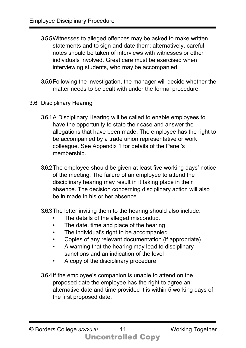- 3.5.5Witnesses to alleged offences may be asked to make written statements and to sign and date them; alternatively, careful notes should be taken of interviews with witnesses or other individuals involved. Great care must be exercised when interviewing students, who may be accompanied.
- 3.5.6Following the investigation, the manager will decide whether the matter needs to be dealt with under the formal procedure.
- 3.6 Disciplinary Hearing
	- 3.6.1A Disciplinary Hearing will be called to enable employees to have the opportunity to state their case and answer the allegations that have been made. The employee has the right to be accompanied by a trade union representative or work colleague. See Appendix 1 for details of the Panel's membership.
	- 3.6.2The employee should be given at least five working days' notice of the meeting. The failure of an employee to attend the disciplinary hearing may result in it taking place in their absence. The decision concerning disciplinary action will also be in made in his or her absence.
	- 3.6.3The letter inviting them to the hearing should also include:
		- The details of the alleged misconduct
		- The date, time and place of the hearing
		- The individual's right to be accompanied
		- Copies of any relevant documentation (if appropriate)
		- A warning that the hearing may lead to disciplinary sanctions and an indication of the level
		- A copy of the disciplinary procedure
	- 3.6.4If the employee's companion is unable to attend on the proposed date the employee has the right to agree an alternative date and time provided it is within 5 working days of the first proposed date.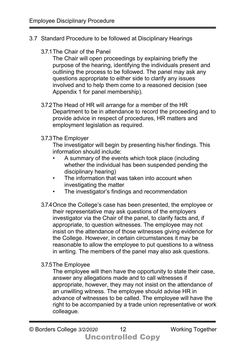- 3.7 Standard Procedure to be followed at Disciplinary Hearings
	- 3.7.1The Chair of the Panel

The Chair will open proceedings by explaining briefly the purpose of the hearing, identifying the individuals present and outlining the process to be followed. The panel may ask any questions appropriate to either side to clarify any issues involved and to help them come to a reasoned decision (see Appendix 1 for panel membership).

- 3.7.2The Head of HR will arrange for a member of the HR Department to be in attendance to record the proceeding and to provide advice in respect of procedures, HR matters and employment legislation as required.
- 3.7.3The Employer

The investigator will begin by presenting his/her findings. This information should include:

- A summary of the events which took place (including whether the individual has been suspended pending the disciplinary hearing)
- The information that was taken into account when investigating the matter
- The investigator's findings and recommendation
- 3.7.4Once the College's case has been presented, the employee or their representative may ask questions of the employers investigator via the Chair of the panel, to clarify facts and, if appropriate, to question witnesses. The employee may not insist on the attendance of those witnesses giving evidence for the College. However, in certain circumstances it may be reasonable to allow the employee to put questions to a witness in writing. The members of the panel may also ask questions.
- 3.7.5The Employee

The employee will then have the opportunity to state their case, answer any allegations made and to call witnesses if appropriate, however, they may not insist on the attendance of an unwilling witness. The employee should advise HR in advance of witnesses to be called. The employee will have the right to be accompanied by a trade union representative or work colleague.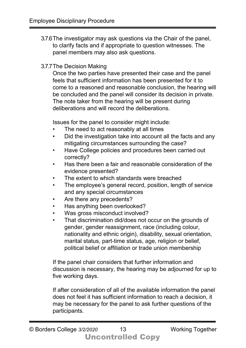- 3.7.6The investigator may ask questions via the Chair of the panel, to clarify facts and if appropriate to question witnesses. The panel members may also ask questions.
- 3.7.7The Decision Making

Once the two parties have presented their case and the panel feels that sufficient information has been presented for it to come to a reasoned and reasonable conclusion, the hearing will be concluded and the panel will consider its decision in private. The note taker from the hearing will be present during deliberations and will record the deliberations.

Issues for the panel to consider might include:

- The need to act reasonably at all times
- Did the investigation take into account all the facts and any mitigating circumstances surrounding the case?
- Have College policies and procedures been carried out correctly?
- Has there been a fair and reasonable consideration of the evidence presented?
- The extent to which standards were breached
- The employee's general record, position, length of service and any special circumstances
- Are there any precedents?
- Has anything been overlooked?
- Was gross misconduct involved?
- That discrimination did/does not occur on the grounds of gender, gender reassignment, race (including colour, nationality and ethnic origin), disability, sexual orientation, marital status, part-time status, age, religion or belief, political belief or affiliation or trade union membership

If the panel chair considers that further information and discussion is necessary, the hearing may be adjourned for up to five working days.

If after consideration of all of the available information the panel does not feel it has sufficient information to reach a decision, it may be necessary for the panel to ask further questions of the participants.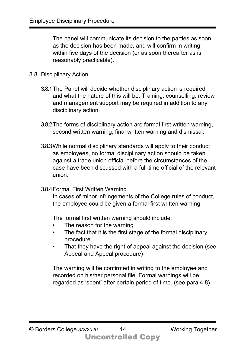The panel will communicate its decision to the parties as soon as the decision has been made, and will confirm in writing within five days of the decision (or as soon thereafter as is reasonably practicable).

#### 3.8 Disciplinary Action

- 3.8.1The Panel will decide whether disciplinary action is required and what the nature of this will be. Training, counselling, review and management support may be required in addition to any disciplinary action.
- 3.8.2The forms of disciplinary action are formal first written warning, second written warning, final written warning and dismissal.
- 3.8.3While normal disciplinary standards will apply to their conduct as employees, no formal disciplinary action should be taken against a trade union official before the circumstances of the case have been discussed with a full-time official of the relevant union.
- 3.8.4Formal First Written Warning

In cases of minor infringements of the College rules of conduct, the employee could be given a formal first written warning.

The formal first written warning should include:

- The reason for the warning
- The fact that it is the first stage of the formal disciplinary procedure
- That they have the right of appeal against the decision (see Appeal and Appeal procedure)

The warning will be confirmed in writing to the employee and recorded on his/her personal file. Formal warnings will be regarded as 'spent' after certain period of time. (see para 4.8)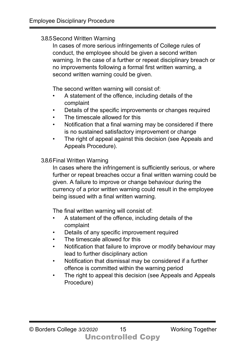#### 3.8.5Second Written Warning

In cases of more serious infringements of College rules of conduct, the employee should be given a second written warning. In the case of a further or repeat disciplinary breach or no improvements following a formal first written warning, a second written warning could be given.

The second written warning will consist of:

- A statement of the offence, including details of the complaint
- Details of the specific improvements or changes required
- The timescale allowed for this
- Notification that a final warning may be considered if there is no sustained satisfactory improvement or change
- The right of appeal against this decision (see Appeals and Appeals Procedure).

### 3.8.6Final Written Warning

In cases where the infringement is sufficiently serious, or where further or repeat breaches occur a final written warning could be given. A failure to improve or change behaviour during the currency of a prior written warning could result in the employee being issued with a final written warning.

The final written warning will consist of:

- A statement of the offence, including details of the complaint
- Details of any specific improvement required
- The timescale allowed for this
- Notification that failure to improve or modify behaviour may lead to further disciplinary action
- Notification that dismissal may be considered if a further offence is committed within the warning period
- The right to appeal this decision (see Appeals and Appeals Procedure)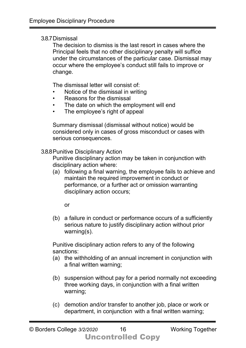#### 3.8.7Dismissal

The decision to dismiss is the last resort in cases where the Principal feels that no other disciplinary penalty will suffice under the circumstances of the particular case. Dismissal may occur where the employee's conduct still fails to improve or change.

The dismissal letter will consist of:

- Notice of the dismissal in writing
- Reasons for the dismissal
- The date on which the employment will end
- The employee's right of appeal

Summary dismissal (dismissal without notice) would be considered only in cases of gross misconduct or cases with serious consequences.

3.8.8Punitive Disciplinary Action

Punitive disciplinary action may be taken in conjunction with disciplinary action where:

(a) following a final warning, the employee fails to achieve and maintain the required improvement in conduct or performance, or a further act or omission warranting disciplinary action occurs;

or

(b) a failure in conduct or performance occurs of a sufficiently serious nature to justify disciplinary action without prior warning(s).

Punitive disciplinary action refers to any of the following sanctions:

- (a) the withholding of an annual increment in conjunction with a final written warning;
- (b) suspension without pay for a period normally not exceeding three working days, in conjunction with a final written warning;
- (c) demotion and/or transfer to another job, place or work or department, in conjunction with a final written warning;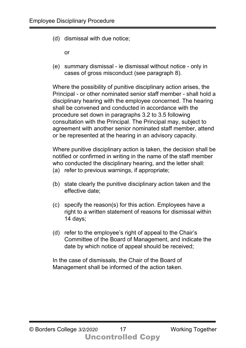(d) dismissal with due notice;

or

(e) summary dismissal - ie dismissal without notice - only in cases of gross misconduct (see paragraph 8).

Where the possibility of punitive disciplinary action arises, the Principal - or other nominated senior staff member - shall hold a disciplinary hearing with the employee concerned. The hearing shall be convened and conducted in accordance with the procedure set down in paragraphs 3.2 to 3.5 following consultation with the Principal. The Principal may, subject to agreement with another senior nominated staff member, attend or be represented at the hearing in an advisory capacity.

Where punitive disciplinary action is taken, the decision shall be notified or confirmed in writing in the name of the staff member who conducted the disciplinary hearing, and the letter shall: (a) refer to previous warnings, if appropriate;

- (b) state clearly the punitive disciplinary action taken and the effective date;
- (c) specify the reason(s) for this action. Employees have a right to a written statement of reasons for dismissal within 14 days;
- (d) refer to the employee's right of appeal to the Chair's Committee of the Board of Management, and indicate the date by which notice of appeal should be received;

In the case of dismissals, the Chair of the Board of Management shall be informed of the action taken.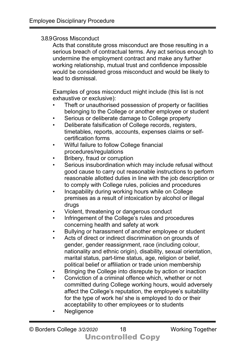#### 3.8.9Gross Misconduct

Acts that constitute gross misconduct are those resulting in a serious breach of contractual terms. Any act serious enough to undermine the employment contract and make any further working relationship, mutual trust and confidence impossible would be considered gross misconduct and would be likely to lead to dismissal.

Examples of gross misconduct might include (this list is not exhaustive or exclusive):

- Theft or unauthorised possession of property or facilities belonging to the College or another employee or student
- Serious or deliberate damage to College property
- Deliberate falsification of College records, registers, timetables, reports, accounts, expenses claims or selfcertification forms
- Wilful failure to follow College financial procedures/regulations
- Bribery, fraud or corruption
- Serious insubordination which may include refusal without good cause to carry out reasonable instructions to perform reasonable allotted duties in line with the job description or to comply with College rules, policies and procedures
- Incapability during working hours while on College premises as a result of intoxication by alcohol or illegal drugs
- Violent, threatening or dangerous conduct
- Infringement of the College's rules and procedures concerning health and safety at work
- Bullying or harassment of another employee or student
- Acts of direct or indirect discrimination on grounds of gender, gender reassignment, race (including colour, nationality and ethnic origin), disability, sexual orientation, marital status, part-time status, age, religion or belief, political belief or affiliation or trade union membership
- Bringing the College into disrepute by action or inaction
- Conviction of a criminal offence which, whether or not committed during College working hours, would adversely affect the College's reputation, the employee's suitability for the type of work he/ she is employed to do or their acceptability to other employees or to students
- **Negligence**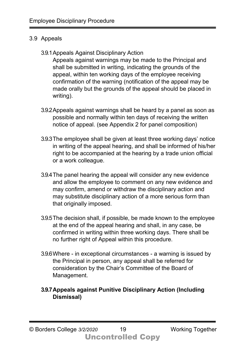#### 3.9 Appeals

#### 3.9.1Appeals Against Disciplinary Action

Appeals against warnings may be made to the Principal and shall be submitted in writing, indicating the grounds of the appeal, within ten working days of the employee receiving confirmation of the warning (notification of the appeal may be made orally but the grounds of the appeal should be placed in writing).

- 3.9.2Appeals against warnings shall be heard by a panel as soon as possible and normally within ten days of receiving the written notice of appeal. (see Appendix 2 for panel composition)
- 3.9.3The employee shall be given at least three working days' notice in writing of the appeal hearing, and shall be informed of his/her right to be accompanied at the hearing by a trade union official or a work colleague.
- 3.9.4The panel hearing the appeal will consider any new evidence and allow the employee to comment on any new evidence and may confirm, amend or withdraw the disciplinary action and may substitute disciplinary action of a more serious form than that originally imposed.
- 3.9.5The decision shall, if possible, be made known to the employee at the end of the appeal hearing and shall, in any case, be confirmed in writing within three working days. There shall be no further right of Appeal within this procedure.
- 3.9.6Where in exceptional circumstances a warning is issued by the Principal in person, any appeal shall be referred for consideration by the Chair's Committee of the Board of Management.
- **3.9.7Appeals against Punitive Disciplinary Action (Including Dismissal)**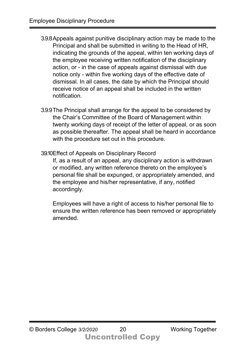- 3.9.8Appeals against punitive disciplinary action may be made to the Principal and shall be submitted in writing to the Head of HR, indicating the grounds of the appeal, within ten working days of the employee receiving written notification of the disciplinary action, or - in the case of appeals against dismissal with due notice only - within five working days of the effective date of dismissal. In all cases, the date by which the Principal should receive notice of an appeal shall be included in the written notification.
- 3.9.9The Principal shall arrange for the appeal to be considered by the Chair's Committee of the Board of Management within twenty working days of receipt of the letter of appeal, or as soon as possible thereafter. The appeal shall be heard in accordance with the procedure set out in this procedure.
- 3.9.10Effect of Appeals on Disciplinary Record

If, as a result of an appeal, any disciplinary action is withdrawn or modified, any written reference thereto on the employee's personal file shall be expunged, or appropriately amended, and the employee and his/her representative, if any, notified accordingly.

Employees will have a right of access to his/her personal file to ensure the written reference has been removed or appropriately amended.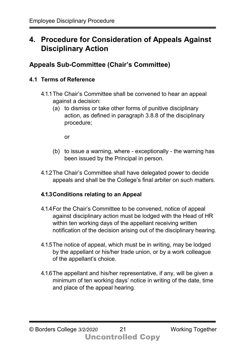## **4. Procedure for Consideration of Appeals Against Disciplinary Action**

## **Appeals Sub-Committee (Chair's Committee)**

## **4.1 Terms of Reference**

- 4.1.1The Chair's Committee shall be convened to hear an appeal against a decision:
	- (a) to dismiss or take other forms of punitive disciplinary action, as defined in paragraph 3.8.8 of the disciplinary procedure;

or

- (b) to issue a warning, where exceptionally the warning has been issued by the Principal in person.
- 4.1.2The Chair's Committee shall have delegated power to decide appeals and shall be the College's final arbiter on such matters.

### **4.1.3Conditions relating to an Appeal**

- 4.1.4For the Chair's Committee to be convened, notice of appeal against disciplinary action must be lodged with the Head of HR within ten working days of the appellant receiving written notification of the decision arising out of the disciplinary hearing.
- 4.1.5The notice of appeal, which must be in writing, may be lodged by the appellant or his/her trade union, or by a work colleague of the appellant's choice.
- 4.1.6The appellant and his/her representative, if any, will be given a minimum of ten working days' notice in writing of the date, time and place of the appeal hearing.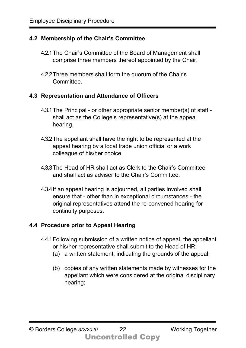### **4.2 Membership of the Chair's Committee**

- 4.2.1The Chair's Committee of the Board of Management shall comprise three members thereof appointed by the Chair.
- 4.2.2Three members shall form the quorum of the Chair's Committee.

### **4.3 Representation and Attendance of Officers**

- 4.3.1The Principal or other appropriate senior member(s) of staff shall act as the College's representative(s) at the appeal hearing.
- 4.3.2The appellant shall have the right to be represented at the appeal hearing by a local trade union official or a work colleague of his/her choice.
- 4.3.3The Head of HR shall act as Clerk to the Chair's Committee and shall act as adviser to the Chair's Committee.
- 4.3.4If an appeal hearing is adjourned, all parties involved shall ensure that - other than in exceptional circumstances - the original representatives attend the re-convened hearing for continuity purposes.

## **4.4 Procedure prior to Appeal Hearing**

- 4.4.1Following submission of a written notice of appeal, the appellant or his/her representative shall submit to the Head of HR:
	- (a) a written statement, indicating the grounds of the appeal;
	- (b) copies of any written statements made by witnesses for the appellant which were considered at the original disciplinary hearing;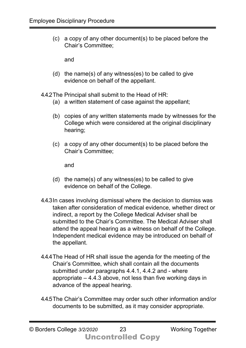(c) a copy of any other document(s) to be placed before the Chair's Committee;

and

(d) the name(s) of any witness(es) to be called to give evidence on behalf of the appellant.

4.4.2The Principal shall submit to the Head of HR:

- (a) a written statement of case against the appellant;
- (b) copies of any written statements made by witnesses for the College which were considered at the original disciplinary hearing;
- (c) a copy of any other document(s) to be placed before the Chair's Committee;

and

- (d) the name(s) of any witness(es) to be called to give evidence on behalf of the College.
- 4.4.3In cases involving dismissal where the decision to dismiss was taken after consideration of medical evidence, whether direct or indirect, a report by the College Medical Adviser shall be submitted to the Chair's Committee. The Medical Adviser shall attend the appeal hearing as a witness on behalf of the College. Independent medical evidence may be introduced on behalf of the appellant.
- 4.4.4The Head of HR shall issue the agenda for the meeting of the Chair's Committee, which shall contain all the documents submitted under paragraphs 4.4.1, 4.4.2 and - where appropriate – 4.4.3 above, not less than five working days in advance of the appeal hearing.
- 4.4.5The Chair's Committee may order such other information and/or documents to be submitted, as it may consider appropriate.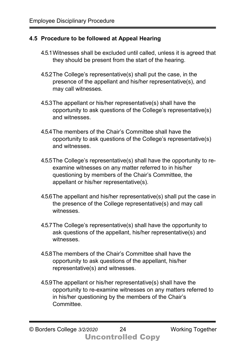#### **4.5 Procedure to be followed at Appeal Hearing**

- 4.5.1Witnesses shall be excluded until called, unless it is agreed that they should be present from the start of the hearing.
- 4.5.2The College's representative(s) shall put the case, in the presence of the appellant and his/her representative(s), and may call witnesses.
- 4.5.3The appellant or his/her representative(s) shall have the opportunity to ask questions of the College's representative(s) and witnesses.
- 4.5.4The members of the Chair's Committee shall have the opportunity to ask questions of the College's representative(s) and witnesses.
- 4.5.5The College's representative(s) shall have the opportunity to reexamine witnesses on any matter referred to in his/her questioning by members of the Chair's Committee, the appellant or his/her representative(s).
- 4.5.6The appellant and his/her representative(s) shall put the case in the presence of the College representative(s) and may call witnesses.
- 4.5.7The College's representative(s) shall have the opportunity to ask questions of the appellant, his/her representative(s) and witnesses.
- 4.5.8The members of the Chair's Committee shall have the opportunity to ask questions of the appellant, his/her representative(s) and witnesses.
- 4.5.9The appellant or his/her representative(s) shall have the opportunity to re-examine witnesses on any matters referred to in his/her questioning by the members of the Chair's Committee.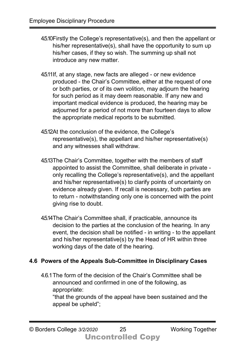- 4.5.10Firstly the College's representative(s), and then the appellant or his/her representative(s), shall have the opportunity to sum up his/her cases, if they so wish. The summing up shall not introduce any new matter.
- 4.5.11If, at any stage, new facts are alleged or new evidence produced - the Chair's Committee, either at the request of one or both parties, or of its own volition, may adjourn the hearing for such period as it may deem reasonable. If any new and important medical evidence is produced, the hearing may be adjourned for a period of not more than fourteen days to allow the appropriate medical reports to be submitted.
- 4.5.12At the conclusion of the evidence, the College's representative(s), the appellant and his/her representative(s) and any witnesses shall withdraw.
- 4.5.13The Chair's Committee, together with the members of staff appointed to assist the Committee, shall deliberate in private only recalling the College's representative(s), and the appellant and his/her representative(s) to clarify points of uncertainty on evidence already given. If recall is necessary, both parties are to return - notwithstanding only one is concerned with the point giving rise to doubt.
- 4.5.14The Chair's Committee shall, if practicable, announce its decision to the parties at the conclusion of the hearing. In any event, the decision shall be notified - in writing - to the appellant and his/her representative(s) by the Head of HR within three working days of the date of the hearing.

### **4.6 Powers of the Appeals Sub-Committee in Disciplinary Cases**

4.6.1The form of the decision of the Chair's Committee shall be announced and confirmed in one of the following, as appropriate:

"that the grounds of the appeal have been sustained and the appeal be upheld";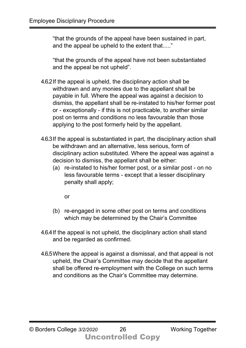"that the grounds of the appeal have been sustained in part, and the appeal be upheld to the extent that....."

"that the grounds of the appeal have not been substantiated and the appeal be not upheld".

- 4.6.2If the appeal is upheld, the disciplinary action shall be withdrawn and any monies due to the appellant shall be payable in full. Where the appeal was against a decision to dismiss, the appellant shall be re-instated to his/her former post or - exceptionally - if this is not practicable, to another similar post on terms and conditions no less favourable than those applying to the post formerly held by the appellant.
- 4.6.3If the appeal is substantiated in part, the disciplinary action shall be withdrawn and an alternative, less serious, form of disciplinary action substituted. Where the appeal was against a decision to dismiss, the appellant shall be either:
	- (a) re-instated to his/her former post, or a similar post on no less favourable terms - except that a lesser disciplinary penalty shall apply;

or

- (b) re-engaged in some other post on terms and conditions which may be determined by the Chair's Committee
- 4.6.4If the appeal is not upheld, the disciplinary action shall stand and be regarded as confirmed.
- 4.6.5Where the appeal is against a dismissal, and that appeal is not upheld, the Chair's Committee may decide that the appellant shall be offered re-employment with the College on such terms and conditions as the Chair's Committee may determine.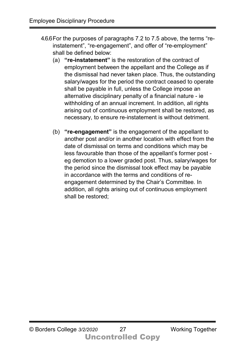- 4.6.6For the purposes of paragraphs 7.2 to 7.5 above, the terms "reinstatement", "re-engagement", and offer of "re-employment" shall be defined below:
	- (a) **"re-instatement"** is the restoration of the contract of employment between the appellant and the College as if the dismissal had never taken place. Thus, the outstanding salary/wages for the period the contract ceased to operate shall be payable in full, unless the College impose an alternative disciplinary penalty of a financial nature - ie withholding of an annual increment. In addition, all rights arising out of continuous employment shall be restored, as necessary, to ensure re-instatement is without detriment.
	- (b) **"re-engagement"** is the engagement of the appellant to another post and/or in another location with effect from the date of dismissal on terms and conditions which may be less favourable than those of the appellant's former post eg demotion to a lower graded post. Thus, salary/wages for the period since the dismissal took effect may be payable in accordance with the terms and conditions of reengagement determined by the Chair's Committee. In addition, all rights arising out of continuous employment shall be restored;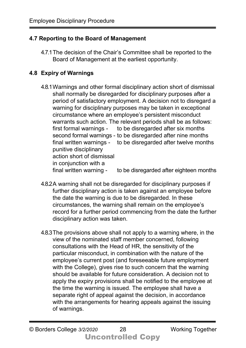## **4.7 Reporting to the Board of Management**

4.7.1The decision of the Chair's Committee shall be reported to the Board of Management at the earliest opportunity.

## **4.8 Expiry of Warnings**

- 4.8.1Warnings and other formal disciplinary action short of dismissal shall normally be disregarded for disciplinary purposes after a period of satisfactory employment. A decision not to disregard a warning for disciplinary purposes may be taken in exceptional circumstance where an employee's persistent misconduct warrants such action. The relevant periods shall be as follows: first formal warnings - to be disregarded after six months second formal warnings - to be disregarded after nine months final written warnings - to be disregarded after twelve months punitive disciplinary action short of dismissal in conjunction with a final written warning - to be disregarded after eighteen months
- 4.8.2A warning shall not be disregarded for disciplinary purposes if further disciplinary action is taken against an employee before the date the warning is due to be disregarded. In these circumstances, the warning shall remain on the employee's record for a further period commencing from the date the further disciplinary action was taken.
- 4.8.3The provisions above shall not apply to a warning where, in the view of the nominated staff member concerned, following consultations with the Head of HR, the sensitivity of the particular misconduct, in combination with the nature of the employee's current post (and foreseeable future employment with the College), gives rise to such concern that the warning should be available for future consideration. A decision not to apply the expiry provisions shall be notified to the employee at the time the warning is issued. The employee shall have a separate right of appeal against the decision, in accordance with the arrangements for hearing appeals against the issuing of warnings.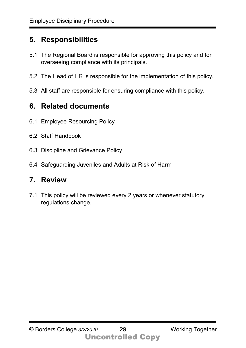## **5. Responsibilities**

- 5.1 The Regional Board is responsible for approving this policy and for overseeing compliance with its principals.
- 5.2 The Head of HR is responsible for the implementation of this policy.
- 5.3 All staff are responsible for ensuring compliance with this policy.

## **6. Related documents**

- 6.1 Employee Resourcing Policy
- 6.2 Staff Handbook
- 6.3 Discipline and Grievance Policy
- 6.4 Safeguarding Juveniles and Adults at Risk of Harm

## **7. Review**

7.1 This policy will be reviewed every 2 years or whenever statutory regulations change.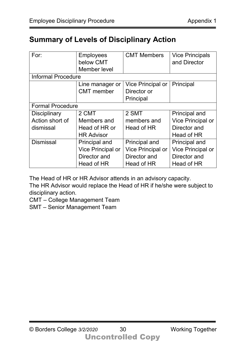## **Summary of Levels of Disciplinary Action**

| For:                      | <b>Employees</b>         | <b>CMT Members</b> | <b>Vice Principals</b>   |  |  |
|---------------------------|--------------------------|--------------------|--------------------------|--|--|
|                           | below CMT                |                    | and Director             |  |  |
|                           | Member level             |                    |                          |  |  |
| <b>Informal Procedure</b> |                          |                    |                          |  |  |
|                           | Line manager or          | Vice Principal or  | Principal                |  |  |
|                           | <b>CMT</b> member        | Director or        |                          |  |  |
|                           |                          | Principal          |                          |  |  |
| <b>Formal Procedure</b>   |                          |                    |                          |  |  |
| <b>Disciplinary</b>       | 2 CMT                    | 2 SMT              | <b>Principal and</b>     |  |  |
| Action short of           | Members and              | members and        | Vice Principal or        |  |  |
| dismissal                 | Head of HR or            | Head of HR         | Director and             |  |  |
|                           | <b>HR Advisor</b>        |                    | Head of HR               |  |  |
| <b>Dismissal</b>          | Principal and            | Principal and      | <b>Principal and</b>     |  |  |
|                           | <b>Vice Principal or</b> | Vice Principal or  | <b>Vice Principal or</b> |  |  |
|                           | Director and             | Director and       | Director and             |  |  |
|                           | Head of HR               | Head of HR         | Head of HR               |  |  |

The Head of HR or HR Advisor attends in an advisory capacity.

The HR Advisor would replace the Head of HR if he/she were subject to disciplinary action.

CMT – College Management Team

SMT – Senior Management Team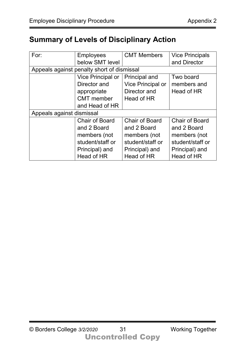## **Summary of Levels of Disciplinary Action**

| For:                                       | <b>Employees</b>         | <b>CMT Members</b>       | <b>Vice Principals</b> |  |  |
|--------------------------------------------|--------------------------|--------------------------|------------------------|--|--|
|                                            | below SMT level          |                          | and Director           |  |  |
| Appeals against penalty short of dismissal |                          |                          |                        |  |  |
|                                            | <b>Vice Principal or</b> | Principal and            | Two board              |  |  |
|                                            | Director and             | <b>Vice Principal or</b> | members and            |  |  |
|                                            | appropriate              | Director and             | Head of HR             |  |  |
|                                            | <b>CMT</b> member        | Head of HR               |                        |  |  |
|                                            | and Head of HR           |                          |                        |  |  |
| Appeals against dismissal                  |                          |                          |                        |  |  |
|                                            | <b>Chair of Board</b>    | <b>Chair of Board</b>    | <b>Chair of Board</b>  |  |  |
|                                            | and 2 Board              | and 2 Board              | and 2 Board            |  |  |
|                                            | members (not             | members (not             | members (not           |  |  |
|                                            | student/staff or         | student/staff or         | student/staff or       |  |  |
|                                            | Principal) and           | Principal) and           | Principal) and         |  |  |
|                                            | Head of HR               | Head of HR               | Head of HR             |  |  |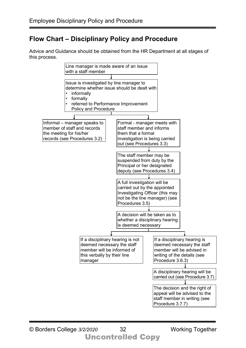## **Flow Chart – Disciplinary Policy and Procedure**

Advice and Guidance should be obtained from the HR Department at all stages of this process.

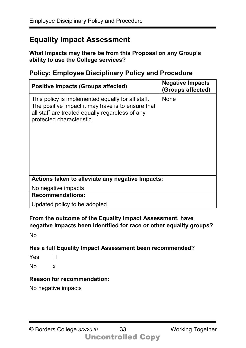## **Equality Impact Assessment**

**What Impacts may there be from this Proposal on any Group's ability to use the College services?** 

### **Policy: Employee Disciplinary Policy and Procedure**

| <b>Positive Impacts (Groups affected)</b>                                                                                                                                              | <b>Negative Impacts</b><br>(Groups affected) |  |  |  |  |
|----------------------------------------------------------------------------------------------------------------------------------------------------------------------------------------|----------------------------------------------|--|--|--|--|
| This policy is implemented equally for all staff.<br>The positive impact it may have is to ensure that<br>all staff are treated equally regardless of any<br>protected characteristic. | <b>None</b>                                  |  |  |  |  |
| Actions taken to alleviate any negative Impacts:                                                                                                                                       |                                              |  |  |  |  |
| No negative impacts                                                                                                                                                                    |                                              |  |  |  |  |
| <b>Recommendations:</b>                                                                                                                                                                |                                              |  |  |  |  |
| Updated policy to be adopted                                                                                                                                                           |                                              |  |  |  |  |

**From the outcome of the Equality Impact Assessment, have negative impacts been identified for race or other equality groups?** 

No

## **Has a full Equality Impact Assessment been recommended?**

Yes  $\Box$ 

No x

## **Reason for recommendation:**

No negative impacts